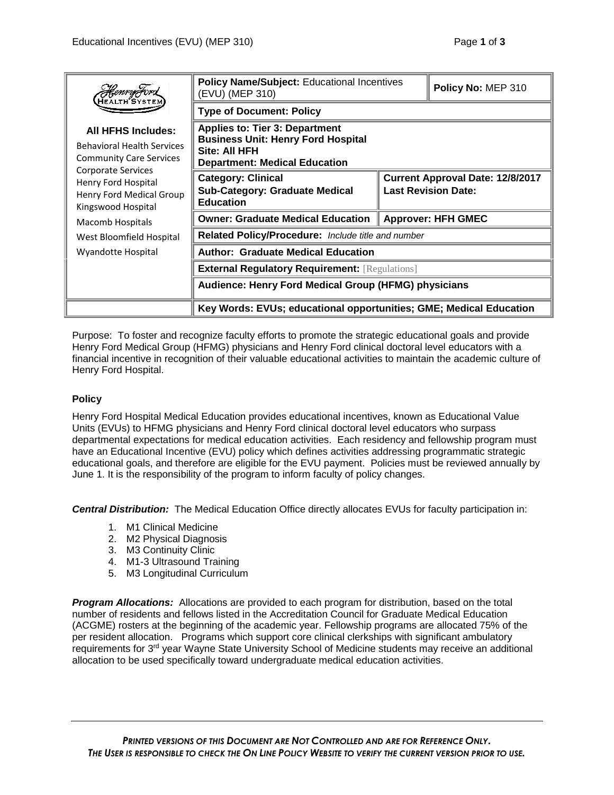| <b>Henry Fora</b>                                                                                                                                                                                                   | <b>Policy Name/Subject: Educational Incentives</b><br>(EVU) (MEP 310)                                                                       |                                                                       | Policy No: MEP 310 |
|---------------------------------------------------------------------------------------------------------------------------------------------------------------------------------------------------------------------|---------------------------------------------------------------------------------------------------------------------------------------------|-----------------------------------------------------------------------|--------------------|
|                                                                                                                                                                                                                     | <b>Type of Document: Policy</b>                                                                                                             |                                                                       |                    |
| <b>All HFHS Includes:</b><br><b>Behavioral Health Services</b><br><b>Community Care Services</b><br>Corporate Services<br>Henry Ford Hospital<br>Henry Ford Medical Group<br>Kingswood Hospital<br>Macomb Hospitals | <b>Applies to: Tier 3: Department</b><br><b>Business Unit: Henry Ford Hospital</b><br>Site: All HFH<br><b>Department: Medical Education</b> |                                                                       |                    |
|                                                                                                                                                                                                                     | <b>Category: Clinical</b><br><b>Sub-Category: Graduate Medical</b><br><b>Education</b>                                                      | <b>Current Approval Date: 12/8/2017</b><br><b>Last Revision Date:</b> |                    |
|                                                                                                                                                                                                                     | <b>Owner: Graduate Medical Education</b>                                                                                                    | Approver: HFH GMEC                                                    |                    |
| West Bloomfield Hospital                                                                                                                                                                                            | Related Policy/Procedure: Include title and number                                                                                          |                                                                       |                    |
| Wyandotte Hospital                                                                                                                                                                                                  | <b>Author: Graduate Medical Education</b>                                                                                                   |                                                                       |                    |
|                                                                                                                                                                                                                     | <b>External Regulatory Requirement: [Regulations]</b>                                                                                       |                                                                       |                    |
|                                                                                                                                                                                                                     | Audience: Henry Ford Medical Group (HFMG) physicians                                                                                        |                                                                       |                    |
|                                                                                                                                                                                                                     | Key Words: EVUs; educational opportunities; GME; Medical Education                                                                          |                                                                       |                    |

Purpose: To foster and recognize faculty efforts to promote the strategic educational goals and provide Henry Ford Medical Group (HFMG) physicians and Henry Ford clinical doctoral level educators with a financial incentive in recognition of their valuable educational activities to maintain the academic culture of Henry Ford Hospital.

## **Policy**

Henry Ford Hospital Medical Education provides educational incentives, known as Educational Value Units (EVUs) to HFMG physicians and Henry Ford clinical doctoral level educators who surpass departmental expectations for medical education activities. Each residency and fellowship program must have an Educational Incentive (EVU) policy which defines activities addressing programmatic strategic educational goals, and therefore are eligible for the EVU payment. Policies must be reviewed annually by June 1. It is the responsibility of the program to inform faculty of policy changes.

*Central Distribution:* The Medical Education Office directly allocates EVUs for faculty participation in:

- 1. M1 Clinical Medicine
- 2. M2 Physical Diagnosis
- 3. M3 Continuity Clinic
- 4. M1-3 Ultrasound Training
- 5. M3 Longitudinal Curriculum

*Program Allocations:* Allocations are provided to each program for distribution, based on the total number of residents and fellows listed in the Accreditation Council for Graduate Medical Education (ACGME) rosters at the beginning of the academic year. Fellowship programs are allocated 75% of the per resident allocation. Programs which support core clinical clerkships with significant ambulatory requirements for 3<sup>rd</sup> year Wayne State University School of Medicine students may receive an additional allocation to be used specifically toward undergraduate medical education activities.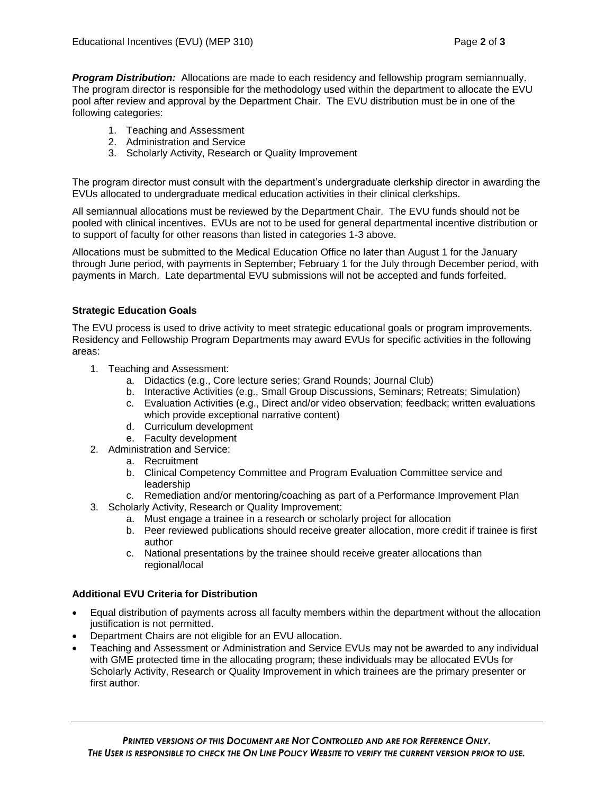*Program Distribution:* Allocations are made to each residency and fellowship program semiannually. The program director is responsible for the methodology used within the department to allocate the EVU pool after review and approval by the Department Chair. The EVU distribution must be in one of the following categories:

- 1. Teaching and Assessment
- 2. Administration and Service
- 3. Scholarly Activity, Research or Quality Improvement

The program director must consult with the department's undergraduate clerkship director in awarding the EVUs allocated to undergraduate medical education activities in their clinical clerkships.

All semiannual allocations must be reviewed by the Department Chair. The EVU funds should not be pooled with clinical incentives. EVUs are not to be used for general departmental incentive distribution or to support of faculty for other reasons than listed in categories 1-3 above.

Allocations must be submitted to the Medical Education Office no later than August 1 for the January through June period, with payments in September; February 1 for the July through December period, with payments in March. Late departmental EVU submissions will not be accepted and funds forfeited.

## **Strategic Education Goals**

The EVU process is used to drive activity to meet strategic educational goals or program improvements. Residency and Fellowship Program Departments may award EVUs for specific activities in the following areas:

- 1. Teaching and Assessment:
	- a. Didactics (e.g., Core lecture series; Grand Rounds; Journal Club)
	- b. Interactive Activities (e.g., Small Group Discussions, Seminars; Retreats; Simulation)
	- c. Evaluation Activities (e.g., Direct and/or video observation; feedback; written evaluations which provide exceptional narrative content)
	- d. Curriculum development
	- e. Faculty development
- 2. Administration and Service:
	- a. Recruitment
	- b. Clinical Competency Committee and Program Evaluation Committee service and leadership
	- c. Remediation and/or mentoring/coaching as part of a Performance Improvement Plan
- 3. Scholarly Activity, Research or Quality Improvement:
	- a. Must engage a trainee in a research or scholarly project for allocation
	- b. Peer reviewed publications should receive greater allocation, more credit if trainee is first author
	- c. National presentations by the trainee should receive greater allocations than regional/local

## **Additional EVU Criteria for Distribution**

- Equal distribution of payments across all faculty members within the department without the allocation justification is not permitted.
- Department Chairs are not eligible for an EVU allocation.
- Teaching and Assessment or Administration and Service EVUs may not be awarded to any individual with GME protected time in the allocating program; these individuals may be allocated EVUs for Scholarly Activity, Research or Quality Improvement in which trainees are the primary presenter or first author.